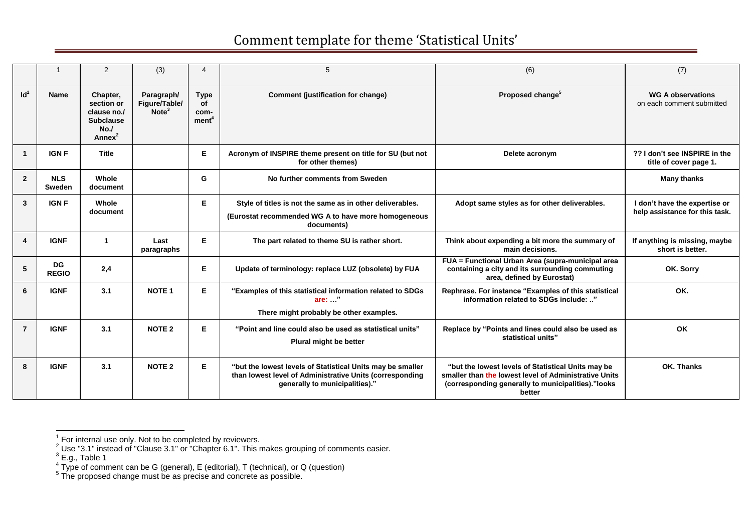|                 |                             | 2                                                                                      | (3)                                              | $\overline{4}$                                 | 5                                                                                                                                                        | (6)                                                                                                                                                                         | (7)                                                             |
|-----------------|-----------------------------|----------------------------------------------------------------------------------------|--------------------------------------------------|------------------------------------------------|----------------------------------------------------------------------------------------------------------------------------------------------------------|-----------------------------------------------------------------------------------------------------------------------------------------------------------------------------|-----------------------------------------------------------------|
| Id <sup>1</sup> | Name                        | Chapter,<br>section or<br>clause no./<br><b>Subclause</b><br>No.<br>Annex <sup>2</sup> | Paragraph/<br>Figure/Table/<br>Note <sup>3</sup> | <b>Type</b><br>οf<br>com-<br>ment <sup>4</sup> | Comment (justification for change)                                                                                                                       | Proposed change <sup>5</sup>                                                                                                                                                | <b>WG A observations</b><br>on each comment submitted           |
| -1              | <b>IGNF</b>                 | <b>Title</b>                                                                           |                                                  | E                                              | Acronym of INSPIRE theme present on title for SU (but not<br>for other themes)                                                                           | Delete acronym                                                                                                                                                              | ?? I don't see INSPIRE in the<br>title of cover page 1.         |
| $\overline{2}$  | <b>NLS</b><br><b>Sweden</b> | Whole<br>document                                                                      |                                                  | G                                              | No further comments from Sweden                                                                                                                          |                                                                                                                                                                             | <b>Many thanks</b>                                              |
| $\overline{3}$  | <b>IGN F</b>                | Whole<br>document                                                                      |                                                  | E                                              | Style of titles is not the same as in other deliverables.<br>(Eurostat recommended WG A to have more homogeneous<br>documents)                           | Adopt same styles as for other deliverables.                                                                                                                                | I don't have the expertise or<br>help assistance for this task. |
| 4               | <b>IGNF</b>                 | $\mathbf{1}$                                                                           | Last<br>paragraphs                               | E                                              | The part related to theme SU is rather short.                                                                                                            | Think about expending a bit more the summary of<br>main decisions.                                                                                                          | If anything is missing, maybe<br>short is better.               |
| 5               | <b>DG</b><br><b>REGIO</b>   | 2,4                                                                                    |                                                  | E                                              | Update of terminology: replace LUZ (obsolete) by FUA                                                                                                     | FUA = Functional Urban Area (supra-municipal area<br>containing a city and its surrounding commuting<br>area, defined by Eurostat)                                          | OK. Sorry                                                       |
| 6               | <b>IGNF</b>                 | 3.1                                                                                    | <b>NOTE 1</b>                                    | E                                              | "Examples of this statistical information related to SDGs<br>are: "<br>There might probably be other examples.                                           | Rephrase. For instance "Examples of this statistical<br>information related to SDGs include: "                                                                              | OK.                                                             |
| $\overline{7}$  | <b>IGNF</b>                 | 3.1                                                                                    | <b>NOTE 2</b>                                    | E                                              | "Point and line could also be used as statistical units"<br>Plural might be better                                                                       | Replace by "Points and lines could also be used as<br>statistical units"                                                                                                    | OK                                                              |
| 8               | <b>IGNF</b>                 | 3.1                                                                                    | <b>NOTE 2</b>                                    | E                                              | "but the lowest levels of Statistical Units may be smaller<br>than lowest level of Administrative Units (corresponding<br>generally to municipalities)." | "but the lowest levels of Statistical Units may be<br>smaller than the lowest level of Administrative Units<br>(corresponding generally to municipalities)."looks<br>better | OK. Thanks                                                      |

 1 For internal use only. Not to be completed by reviewers.

<sup>&</sup>lt;sup>2</sup> Use "3.1" instead of "Clause 3.1" or "Chapter 6.1". This makes grouping of comments easier.<br>
<sup>3</sup> E.g., Table 1<br>
<sup>4</sup> Type of comment can be G (general), E (editorial), T (technical), or Q (question)<br>
<sup>5</sup> The proposed c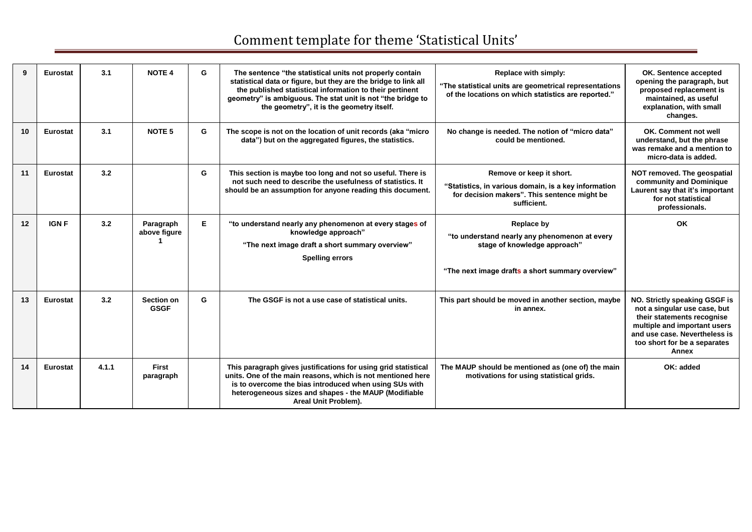| 9               | <b>Eurostat</b> | 3.1   | <b>NOTE 4</b>                    | G  | The sentence "the statistical units not properly contain<br>statistical data or figure, but they are the bridge to link all<br>the published statistical information to their pertinent<br>geometry" is ambiguous. The stat unit is not "the bridge to<br>the geometry", it is the geometry itself. | Replace with simply:<br>"The statistical units are geometrical representations<br>of the locations on which statistics are reported."           | OK. Sentence accepted<br>opening the paragraph, but<br>proposed replacement is<br>maintained, as useful<br>explanation, with small<br>changes.                                                        |
|-----------------|-----------------|-------|----------------------------------|----|-----------------------------------------------------------------------------------------------------------------------------------------------------------------------------------------------------------------------------------------------------------------------------------------------------|-------------------------------------------------------------------------------------------------------------------------------------------------|-------------------------------------------------------------------------------------------------------------------------------------------------------------------------------------------------------|
| 10 <sup>1</sup> | <b>Eurostat</b> | 3.1   | NOTE <sub>5</sub>                | G  | The scope is not on the location of unit records (aka "micro"<br>data") but on the aggregated figures, the statistics.                                                                                                                                                                              | No change is needed. The notion of "micro data"<br>could be mentioned.                                                                          | OK. Comment not well<br>understand, but the phrase<br>was remake and a mention to<br>micro-data is added.                                                                                             |
| 11              | <b>Eurostat</b> | 3.2   |                                  | G  | This section is maybe too long and not so useful. There is<br>not such need to describe the usefulness of statistics. It<br>should be an assumption for anyone reading this document.                                                                                                               | Remove or keep it short.<br>"Statistics, in various domain, is a key information<br>for decision makers". This sentence might be<br>sufficient. | NOT removed. The geospatial<br>community and Dominique<br>Laurent say that it's important<br>for not statistical<br>professionals.                                                                    |
| 12              | <b>IGN F</b>    | 3.2   | Paragraph<br>above figure        | E. | "to understand nearly any phenomenon at every stages of<br>knowledge approach"<br>"The next image draft a short summary overview"<br><b>Spelling errors</b>                                                                                                                                         | Replace by<br>"to understand nearly any phenomenon at every<br>stage of knowledge approach"<br>"The next image drafts a short summary overview" | OK                                                                                                                                                                                                    |
| 13              | Eurostat        | 3.2   | <b>Section on</b><br><b>GSGF</b> | G  | The GSGF is not a use case of statistical units.                                                                                                                                                                                                                                                    | This part should be moved in another section, maybe<br>in annex.                                                                                | NO. Strictly speaking GSGF is<br>not a singular use case, but<br>their statements recognise<br>multiple and important users<br>and use case. Nevertheless is<br>too short for be a separates<br>Annex |
| 14              | <b>Eurostat</b> | 4.1.1 | <b>First</b><br>paragraph        |    | This paragraph gives justifications for using grid statistical<br>units. One of the main reasons, which is not mentioned here<br>is to overcome the bias introduced when using SUs with<br>heterogeneous sizes and shapes - the MAUP (Modifiable<br>Areal Unit Problem).                            | The MAUP should be mentioned as (one of) the main<br>motivations for using statistical grids.                                                   | OK: added                                                                                                                                                                                             |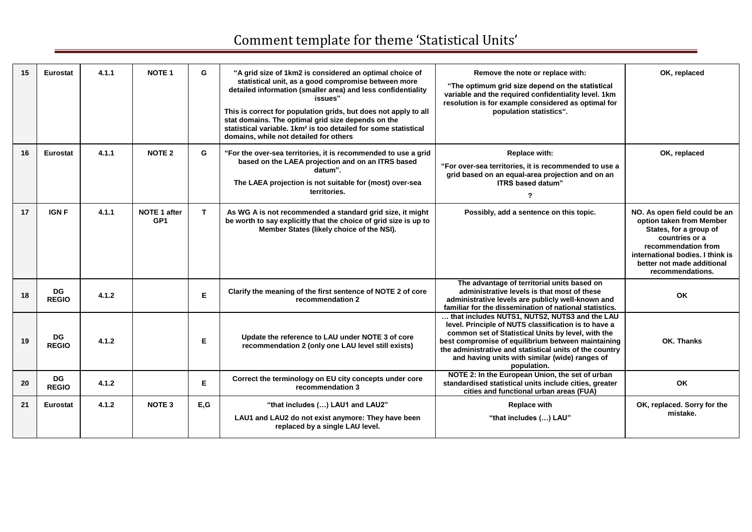| 15 | <b>Eurostat</b>           | 4.1.1 | <b>NOTE 1</b>                          | G    | "A grid size of 1km2 is considered an optimal choice of<br>statistical unit, as a good compromise between more<br>detailed information (smaller area) and less confidentiality<br>issues"<br>This is correct for population grids, but does not apply to all<br>stat domains. The optimal grid size depends on the<br>statistical variable. 1km <sup>2</sup> is too detailed for some statistical<br>domains, while not detailed for others | Remove the note or replace with:<br>"The optimum grid size depend on the statistical<br>variable and the required confidentiality level. 1km<br>resolution is for example considered as optimal for<br>population statistics".                                                                                                                | OK, replaced                                                                                                                                                                                                       |
|----|---------------------------|-------|----------------------------------------|------|---------------------------------------------------------------------------------------------------------------------------------------------------------------------------------------------------------------------------------------------------------------------------------------------------------------------------------------------------------------------------------------------------------------------------------------------|-----------------------------------------------------------------------------------------------------------------------------------------------------------------------------------------------------------------------------------------------------------------------------------------------------------------------------------------------|--------------------------------------------------------------------------------------------------------------------------------------------------------------------------------------------------------------------|
| 16 | <b>Eurostat</b>           | 4.1.1 | <b>NOTE 2</b>                          | G    | "For the over-sea territories, it is recommended to use a grid<br>based on the LAEA projection and on an ITRS based<br>datum".<br>The LAEA projection is not suitable for (most) over-sea<br>territories.                                                                                                                                                                                                                                   | <b>Replace with:</b><br>"For over-sea territories, it is recommended to use a<br>grid based on an equal-area projection and on an<br>ITRS based datum"<br>$\overline{\mathbf{?}}$                                                                                                                                                             | OK, replaced                                                                                                                                                                                                       |
| 17 | <b>IGN F</b>              | 4.1.1 | <b>NOTE 1 after</b><br>GP <sub>1</sub> | T    | As WG A is not recommended a standard grid size, it might<br>be worth to say explicitly that the choice of grid size is up to<br>Member States (likely choice of the NSI).                                                                                                                                                                                                                                                                  | Possibly, add a sentence on this topic.                                                                                                                                                                                                                                                                                                       | NO. As open field could be an<br>option taken from Member<br>States, for a group of<br>countries or a<br>recommendation from<br>international bodies. I think is<br>better not made additional<br>recommendations. |
| 18 | <b>DG</b><br><b>REGIO</b> | 4.1.2 |                                        | E    | Clarify the meaning of the first sentence of NOTE 2 of core<br>recommendation 2                                                                                                                                                                                                                                                                                                                                                             | The advantage of territorial units based on<br>administrative levels is that most of these<br>administrative levels are publicly well-known and<br>familiar for the dissemination of national statistics.                                                                                                                                     | OK                                                                                                                                                                                                                 |
| 19 | <b>DG</b><br><b>REGIO</b> | 4.1.2 |                                        | Е    | Update the reference to LAU under NOTE 3 of core<br>recommendation 2 (only one LAU level still exists)                                                                                                                                                                                                                                                                                                                                      | that includes NUTS1, NUTS2, NUTS3 and the LAU<br>level. Principle of NUTS classification is to have a<br>common set of Statistical Units by level, with the<br>best compromise of equilibrium between maintaining<br>the administrative and statistical units of the country<br>and having units with similar (wide) ranges of<br>population. | OK. Thanks                                                                                                                                                                                                         |
| 20 | <b>DG</b><br><b>REGIO</b> | 4.1.2 |                                        | Е    | Correct the terminology on EU city concepts under core<br>recommendation 3                                                                                                                                                                                                                                                                                                                                                                  | NOTE 2: In the European Union, the set of urban<br>standardised statistical units include cities, greater<br>cities and functional urban areas (FUA)                                                                                                                                                                                          | OK                                                                                                                                                                                                                 |
| 21 | <b>Eurostat</b>           | 4.1.2 | <b>NOTE 3</b>                          | E, G | "that includes () LAU1 and LAU2"<br>LAU1 and LAU2 do not exist anymore: They have been<br>replaced by a single LAU level.                                                                                                                                                                                                                                                                                                                   | <b>Replace with</b><br>"that includes () LAU"                                                                                                                                                                                                                                                                                                 | OK, replaced. Sorry for the<br>mistake.                                                                                                                                                                            |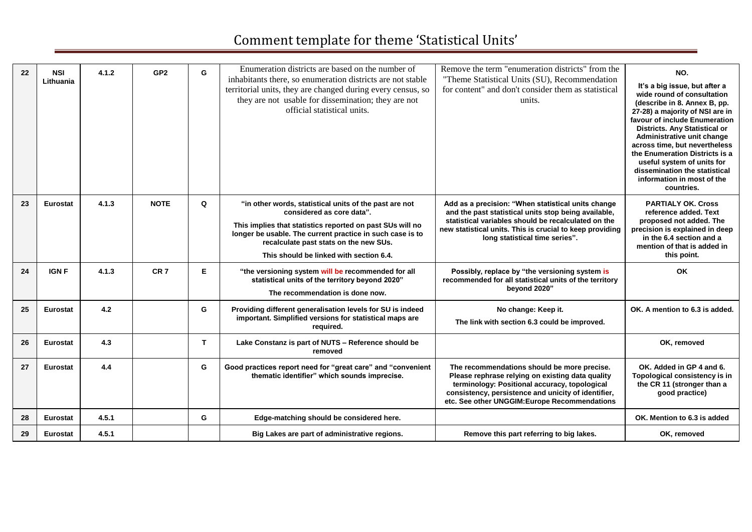| 22 | <b>NSI</b><br>Lithuania | 4.1.2 | GP <sub>2</sub> | G | Enumeration districts are based on the number of<br>inhabitants there, so enumeration districts are not stable<br>territorial units, they are changed during every census, so<br>they are not usable for dissemination; they are not<br>official statistical units.                                | Remove the term "enumeration districts" from the<br>"Theme Statistical Units (SU), Recommendation<br>for content" and don't consider them as statistical<br>units.                                                                                              | NO.<br>It's a big issue, but after a<br>wide round of consultation<br>(describe in 8. Annex B, pp.<br>27-28) a majority of NSI are in<br>favour of include Enumeration<br><b>Districts. Any Statistical or</b><br>Administrative unit change<br>across time, but nevertheless<br>the Enumeration Districts is a<br>useful system of units for<br>dissemination the statistical<br>information in most of the<br>countries. |
|----|-------------------------|-------|-----------------|---|----------------------------------------------------------------------------------------------------------------------------------------------------------------------------------------------------------------------------------------------------------------------------------------------------|-----------------------------------------------------------------------------------------------------------------------------------------------------------------------------------------------------------------------------------------------------------------|----------------------------------------------------------------------------------------------------------------------------------------------------------------------------------------------------------------------------------------------------------------------------------------------------------------------------------------------------------------------------------------------------------------------------|
| 23 | Eurostat                | 4.1.3 | <b>NOTE</b>     | Q | "in other words, statistical units of the past are not<br>considered as core data".<br>This implies that statistics reported on past SUs will no<br>longer be usable. The current practice in such case is to<br>recalculate past stats on the new SUs.<br>This should be linked with section 6.4. | Add as a precision: "When statistical units change<br>and the past statistical units stop being available,<br>statistical variables should be recalculated on the<br>new statistical units. This is crucial to keep providing<br>long statistical time series". | <b>PARTIALY OK. Cross</b><br>reference added. Text<br>proposed not added. The<br>precision is explained in deep<br>in the 6.4 section and a<br>mention of that is added in<br>this point.                                                                                                                                                                                                                                  |
| 24 | <b>IGNF</b>             | 4.1.3 | CR <sub>7</sub> | E | "the versioning system will be recommended for all<br>statistical units of the territory beyond 2020"<br>The recommendation is done now.                                                                                                                                                           | Possibly, replace by "the versioning system is<br>recommended for all statistical units of the territory<br>beyond 2020"                                                                                                                                        | OK                                                                                                                                                                                                                                                                                                                                                                                                                         |
| 25 | <b>Eurostat</b>         | 4.2   |                 | G | Providing different generalisation levels for SU is indeed<br>important. Simplified versions for statistical maps are<br>reauired.                                                                                                                                                                 | No change: Keep it.<br>The link with section 6.3 could be improved.                                                                                                                                                                                             | OK. A mention to 6.3 is added.                                                                                                                                                                                                                                                                                                                                                                                             |
| 26 | <b>Eurostat</b>         | 4.3   |                 | T | Lake Constanz is part of NUTS - Reference should be<br>removed                                                                                                                                                                                                                                     |                                                                                                                                                                                                                                                                 | OK, removed                                                                                                                                                                                                                                                                                                                                                                                                                |
| 27 | <b>Eurostat</b>         | 4.4   |                 | G | Good practices report need for "great care" and "convenient<br>thematic identifier" which sounds imprecise.                                                                                                                                                                                        | The recommendations should be more precise.<br>Please rephrase relying on existing data quality<br>terminology: Positional accuracy, topological<br>consistency, persistence and unicity of identifier,<br>etc. See other UNGGIM: Europe Recommendations        | OK. Added in GP 4 and 6.<br>Topological consistency is in<br>the CR 11 (stronger than a<br>good practice)                                                                                                                                                                                                                                                                                                                  |
| 28 | <b>Eurostat</b>         | 4.5.1 |                 | G | Edge-matching should be considered here.                                                                                                                                                                                                                                                           |                                                                                                                                                                                                                                                                 | OK. Mention to 6.3 is added                                                                                                                                                                                                                                                                                                                                                                                                |
| 29 | <b>Eurostat</b>         | 4.5.1 |                 |   | Big Lakes are part of administrative regions.                                                                                                                                                                                                                                                      | Remove this part referring to big lakes.                                                                                                                                                                                                                        | OK, removed                                                                                                                                                                                                                                                                                                                                                                                                                |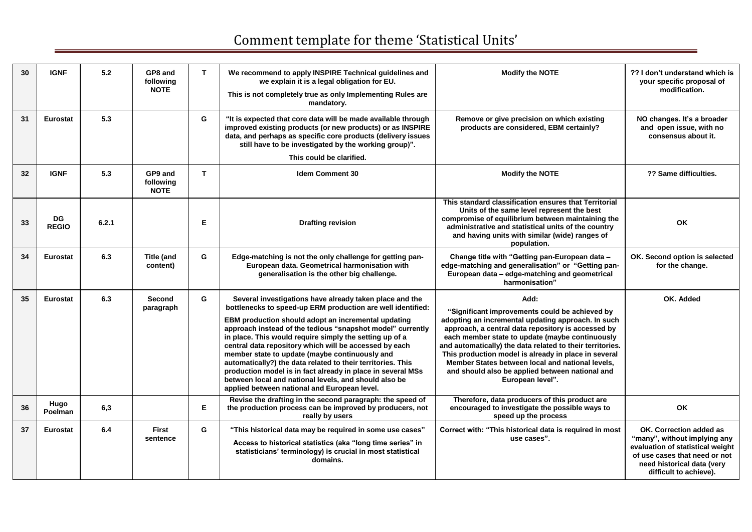| 30 | <b>IGNF</b>        | 5.2   | GP8 and<br>following<br><b>NOTE</b> | T | We recommend to apply INSPIRE Technical guidelines and<br>we explain it is a legal obligation for EU.<br>This is not completely true as only Implementing Rules are<br>mandatory.                                                                                                                                                                                                                                                                                                                                                                                                                                                                         | <b>Modify the NOTE</b>                                                                                                                                                                                                                                                                                                                                                                                                                                                | ?? I don't understand which is<br>your specific proposal of<br>modification.                                                                                                         |
|----|--------------------|-------|-------------------------------------|---|-----------------------------------------------------------------------------------------------------------------------------------------------------------------------------------------------------------------------------------------------------------------------------------------------------------------------------------------------------------------------------------------------------------------------------------------------------------------------------------------------------------------------------------------------------------------------------------------------------------------------------------------------------------|-----------------------------------------------------------------------------------------------------------------------------------------------------------------------------------------------------------------------------------------------------------------------------------------------------------------------------------------------------------------------------------------------------------------------------------------------------------------------|--------------------------------------------------------------------------------------------------------------------------------------------------------------------------------------|
| 31 | <b>Eurostat</b>    | 5.3   |                                     | G | "It is expected that core data will be made available through<br>improved existing products (or new products) or as INSPIRE<br>data, and perhaps as specific core products (delivery issues<br>still have to be investigated by the working group)".                                                                                                                                                                                                                                                                                                                                                                                                      | Remove or give precision on which existing<br>products are considered, EBM certainly?                                                                                                                                                                                                                                                                                                                                                                                 | NO changes. It's a broader<br>and open issue, with no<br>consensus about it.                                                                                                         |
|    |                    |       |                                     |   | This could be clarified.                                                                                                                                                                                                                                                                                                                                                                                                                                                                                                                                                                                                                                  |                                                                                                                                                                                                                                                                                                                                                                                                                                                                       |                                                                                                                                                                                      |
| 32 | <b>IGNF</b>        | 5.3   | GP9 and<br>following<br><b>NOTE</b> | T | <b>Idem Comment 30</b>                                                                                                                                                                                                                                                                                                                                                                                                                                                                                                                                                                                                                                    | <b>Modify the NOTE</b>                                                                                                                                                                                                                                                                                                                                                                                                                                                | ?? Same difficulties.                                                                                                                                                                |
| 33 | DG<br><b>REGIO</b> | 6.2.1 |                                     | Е | <b>Drafting revision</b>                                                                                                                                                                                                                                                                                                                                                                                                                                                                                                                                                                                                                                  | This standard classification ensures that Territorial<br>Units of the same level represent the best<br>compromise of equilibrium between maintaining the<br>administrative and statistical units of the country<br>and having units with similar (wide) ranges of<br>population.                                                                                                                                                                                      | OK                                                                                                                                                                                   |
| 34 | <b>Eurostat</b>    | 6.3   | Title (and<br>content)              | G | Edge-matching is not the only challenge for getting pan-<br>European data. Geometrical harmonisation with<br>generalisation is the other big challenge.                                                                                                                                                                                                                                                                                                                                                                                                                                                                                                   | Change title with "Getting pan-European data -<br>edge-matching and generalisation" or "Getting pan-<br>European data - edge-matching and geometrical<br>harmonisation"                                                                                                                                                                                                                                                                                               | OK. Second option is selected<br>for the change.                                                                                                                                     |
| 35 | <b>Eurostat</b>    | 6.3   | <b>Second</b><br>paragraph          | G | Several investigations have already taken place and the<br>bottlenecks to speed-up ERM production are well identified:<br>EBM production should adopt an incremental updating<br>approach instead of the tedious "snapshot model" currently<br>in place. This would require simply the setting up of a<br>central data repository which will be accessed by each<br>member state to update (maybe continuously and<br>automatically?) the data related to their territories. This<br>production model is in fact already in place in several MSs<br>between local and national levels, and should also be<br>applied between national and European level. | Add:<br>"Significant improvements could be achieved by<br>adopting an incremental updating approach. In such<br>approach, a central data repository is accessed by<br>each member state to update (maybe continuously<br>and automatically) the data related to their territories.<br>This production model is already in place in several<br>Member States between local and national levels.<br>and should also be applied between national and<br>European level". | OK. Added                                                                                                                                                                            |
| 36 | Hugo<br>Poelman    | 6,3   |                                     | Е | Revise the drafting in the second paragraph: the speed of<br>the production process can be improved by producers, not<br>really by users                                                                                                                                                                                                                                                                                                                                                                                                                                                                                                                  | Therefore, data producers of this product are<br>encouraged to investigate the possible ways to<br>speed up the process                                                                                                                                                                                                                                                                                                                                               | OK                                                                                                                                                                                   |
| 37 | <b>Eurostat</b>    | 6.4   | <b>First</b><br>sentence            | G | "This historical data may be required in some use cases"<br>Access to historical statistics (aka "long time series" in<br>statisticians' terminology) is crucial in most statistical<br>domains.                                                                                                                                                                                                                                                                                                                                                                                                                                                          | Correct with: "This historical data is required in most<br>use cases".                                                                                                                                                                                                                                                                                                                                                                                                | OK. Correction added as<br>"many", without implying any<br>evaluation of statistical weight<br>of use cases that need or not<br>need historical data (very<br>difficult to achieve). |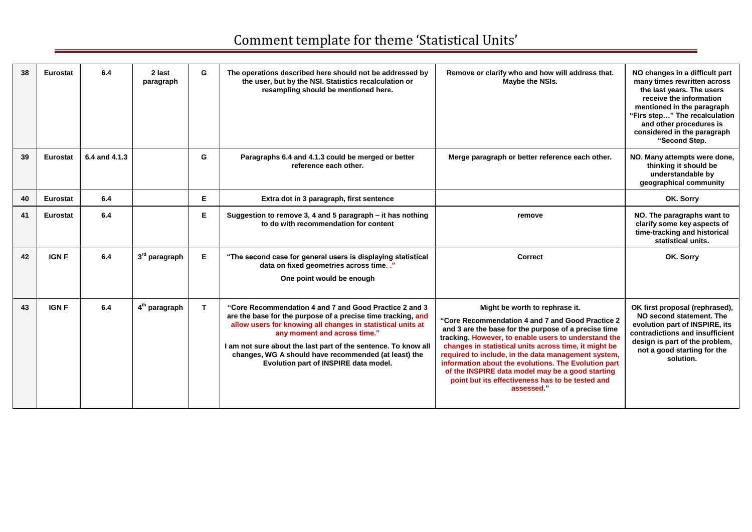| 38 | Eurostat        | 6.4           | 2 last<br>paragraph       | G  | The operations described here should not be addressed by<br>the user, but by the NSI. Statistics recalculation or<br>resampling should be mentioned here.                                                                                                                                                                                                                                | Remove or clarify who and how will address that.<br>Maybe the NSIs.                                                                                                                                                                                                                                                                                                                                                                                                                              | NO changes in a difficult part<br>many times rewritten across<br>the last years. The users<br>receive the information<br>mentioned in the paragraph<br>"Firs step" The recalculation<br>and other procedures is<br>considered in the paragraph |
|----|-----------------|---------------|---------------------------|----|------------------------------------------------------------------------------------------------------------------------------------------------------------------------------------------------------------------------------------------------------------------------------------------------------------------------------------------------------------------------------------------|--------------------------------------------------------------------------------------------------------------------------------------------------------------------------------------------------------------------------------------------------------------------------------------------------------------------------------------------------------------------------------------------------------------------------------------------------------------------------------------------------|------------------------------------------------------------------------------------------------------------------------------------------------------------------------------------------------------------------------------------------------|
|    |                 |               |                           |    |                                                                                                                                                                                                                                                                                                                                                                                          |                                                                                                                                                                                                                                                                                                                                                                                                                                                                                                  | "Second Step.                                                                                                                                                                                                                                  |
| 39 | <b>Eurostat</b> | 6.4 and 4.1.3 |                           | G  | Paragraphs 6.4 and 4.1.3 could be merged or better<br>reference each other.                                                                                                                                                                                                                                                                                                              | Merge paragraph or better reference each other.                                                                                                                                                                                                                                                                                                                                                                                                                                                  | NO. Many attempts were done,<br>thinking it should be<br>understandable by<br>geographical community                                                                                                                                           |
| 40 | Eurostat        | 6.4           |                           | Е  | Extra dot in 3 paragraph, first sentence                                                                                                                                                                                                                                                                                                                                                 |                                                                                                                                                                                                                                                                                                                                                                                                                                                                                                  | OK. Sorry                                                                                                                                                                                                                                      |
| 41 | Eurostat        | 6.4           |                           | Е  | Suggestion to remove 3, 4 and 5 paragraph - it has nothing<br>to do with recommendation for content                                                                                                                                                                                                                                                                                      | remove                                                                                                                                                                                                                                                                                                                                                                                                                                                                                           | NO. The paragraphs want to<br>clarify some key aspects of<br>time-tracking and historical<br>statistical units.                                                                                                                                |
| 42 | <b>IGNF</b>     | 6.4           | 3 <sup>rd</sup> paragraph | E  | "The second case for general users is displaying statistical<br>data on fixed geometries across time. ."<br>One point would be enough                                                                                                                                                                                                                                                    | <b>Correct</b>                                                                                                                                                                                                                                                                                                                                                                                                                                                                                   | OK. Sorry                                                                                                                                                                                                                                      |
| 43 | <b>IGNF</b>     | 6.4           | 4 <sup>th</sup> paragraph | T. | "Core Recommendation 4 and 7 and Good Practice 2 and 3<br>are the base for the purpose of a precise time tracking, and<br>allow users for knowing all changes in statistical units at<br>any moment and across time."<br>I am not sure about the last part of the sentence. To know all<br>changes, WG A should have recommended (at least) the<br>Evolution part of INSPIRE data model. | Might be worth to rephrase it.<br>"Core Recommendation 4 and 7 and Good Practice 2<br>and 3 are the base for the purpose of a precise time<br>tracking. However, to enable users to understand the<br>changes in statistical units across time, it might be<br>required to include, in the data management system,<br>information about the evolutions. The Evolution part<br>of the INSPIRE data model may be a good starting<br>point but its effectiveness has to be tested and<br>assessed." | OK first proposal (rephrased),<br>NO second statement. The<br>evolution part of INSPIRE, its<br>contradictions and insufficient<br>design is part of the problem,<br>not a good starting for the<br>solution.                                  |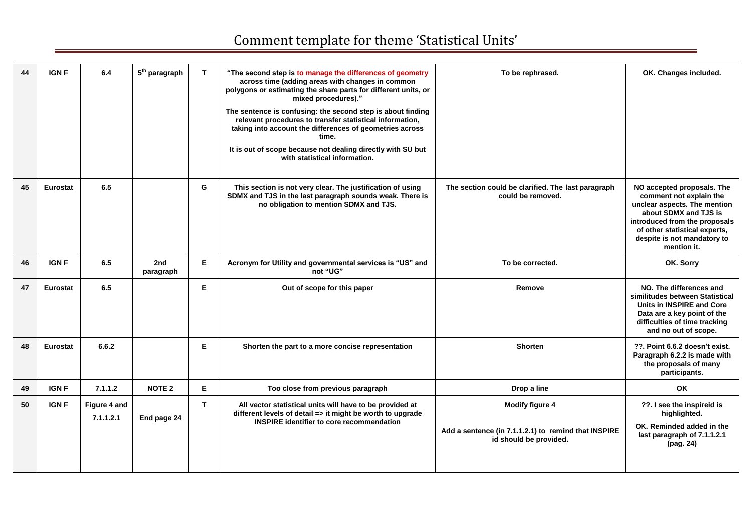| 44 | <b>IGN F</b>    | 6.4                       | $5th$ paragraph  | T  | "The second step is to manage the differences of geometry<br>across time (adding areas with changes in common<br>polygons or estimating the share parts for different units, or<br>mixed procedures)."<br>The sentence is confusing: the second step is about finding<br>relevant procedures to transfer statistical information,<br>taking into account the differences of geometries across<br>time.<br>It is out of scope because not dealing directly with SU but<br>with statistical information. | To be rephrased.                                                                                         | OK. Changes included.                                                                                                                                                                                                          |
|----|-----------------|---------------------------|------------------|----|--------------------------------------------------------------------------------------------------------------------------------------------------------------------------------------------------------------------------------------------------------------------------------------------------------------------------------------------------------------------------------------------------------------------------------------------------------------------------------------------------------|----------------------------------------------------------------------------------------------------------|--------------------------------------------------------------------------------------------------------------------------------------------------------------------------------------------------------------------------------|
| 45 | <b>Eurostat</b> | 6.5                       |                  | G  | This section is not very clear. The justification of using<br>SDMX and TJS in the last paragraph sounds weak. There is<br>no obligation to mention SDMX and TJS.                                                                                                                                                                                                                                                                                                                                       | The section could be clarified. The last paragraph<br>could be removed.                                  | NO accepted proposals. The<br>comment not explain the<br>unclear aspects. The mention<br>about SDMX and TJS is<br>introduced from the proposals<br>of other statistical experts,<br>despite is not mandatory to<br>mention it. |
| 46 | <b>IGN F</b>    | 6.5                       | 2nd<br>paragraph | E  | Acronym for Utility and governmental services is "US" and<br>not "UG"                                                                                                                                                                                                                                                                                                                                                                                                                                  | To be corrected.                                                                                         | OK. Sorry                                                                                                                                                                                                                      |
| 47 | <b>Eurostat</b> | 6.5                       |                  | Е  | Out of scope for this paper                                                                                                                                                                                                                                                                                                                                                                                                                                                                            | Remove                                                                                                   | NO. The differences and<br>similitudes between Statistical<br><b>Units in INSPIRE and Core</b><br>Data are a key point of the<br>difficulties of time tracking<br>and no out of scope.                                         |
| 48 | <b>Eurostat</b> | 6.6.2                     |                  | E  | Shorten the part to a more concise representation                                                                                                                                                                                                                                                                                                                                                                                                                                                      | <b>Shorten</b>                                                                                           | ??. Point 6.6.2 doesn't exist.<br>Paragraph 6.2.2 is made with<br>the proposals of many<br>participants.                                                                                                                       |
| 49 | <b>IGNF</b>     | 7.1.1.2                   | <b>NOTE 2</b>    | E  | Too close from previous paragraph                                                                                                                                                                                                                                                                                                                                                                                                                                                                      | Drop a line                                                                                              | OK                                                                                                                                                                                                                             |
| 50 | <b>IGNF</b>     | Figure 4 and<br>7.1.1.2.1 | End page 24      | T. | All vector statistical units will have to be provided at<br>different levels of detail => it might be worth to upgrade<br><b>INSPIRE identifier to core recommendation</b>                                                                                                                                                                                                                                                                                                                             | <b>Modify figure 4</b><br>Add a sentence (in 7.1.1.2.1) to remind that INSPIRE<br>id should be provided. | ??. I see the inspireid is<br>highlighted.<br>OK. Reminded added in the<br>last paragraph of 7.1.1.2.1<br>(pag. 24)                                                                                                            |